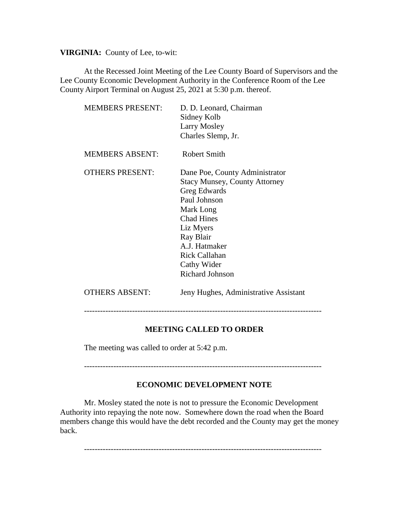**VIRGINIA:** County of Lee, to-wit:

At the Recessed Joint Meeting of the Lee County Board of Supervisors and the Lee County Economic Development Authority in the Conference Room of the Lee County Airport Terminal on August 25, 2021 at 5:30 p.m. thereof.

| <b>MEMBERS PRESENT:</b> | D. D. Leonard, Chairman<br>Sidney Kolb<br>Larry Mosley<br>Charles Slemp, Jr.                                                                                                                                                                         |
|-------------------------|------------------------------------------------------------------------------------------------------------------------------------------------------------------------------------------------------------------------------------------------------|
| <b>MEMBERS ABSENT:</b>  | Robert Smith                                                                                                                                                                                                                                         |
| <b>OTHERS PRESENT:</b>  | Dane Poe, County Administrator<br><b>Stacy Munsey, County Attorney</b><br>Greg Edwards<br>Paul Johnson<br>Mark Long<br><b>Chad Hines</b><br>Liz Myers<br>Ray Blair<br>A.J. Hatmaker<br><b>Rick Callahan</b><br>Cathy Wider<br><b>Richard Johnson</b> |
| <b>OTHERS ABSENT:</b>   | Jeny Hughes, Administrative Assistant                                                                                                                                                                                                                |

-----------------------------------------------------------------------------------------

## **MEETING CALLED TO ORDER**

The meeting was called to order at 5:42 p.m.

-----------------------------------------------------------------------------------------

## **ECONOMIC DEVELOPMENT NOTE**

Mr. Mosley stated the note is not to pressure the Economic Development Authority into repaying the note now. Somewhere down the road when the Board members change this would have the debt recorded and the County may get the money back.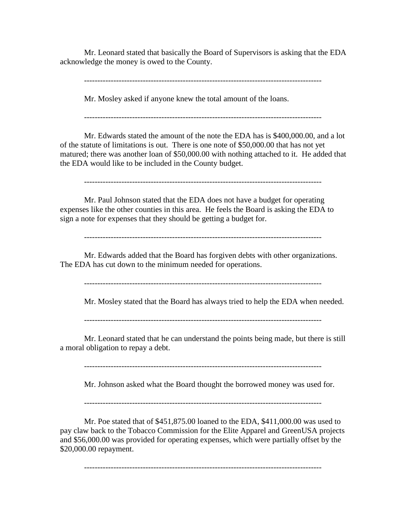Mr. Leonard stated that basically the Board of Supervisors is asking that the EDA acknowledge the money is owed to the County.

-----------------------------------------------------------------------------------------

Mr. Mosley asked if anyone knew the total amount of the loans.

Mr. Edwards stated the amount of the note the EDA has is \$400,000.00, and a lot of the statute of limitations is out. There is one note of \$50,000.00 that has not yet matured; there was another loan of \$50,000.00 with nothing attached to it. He added that the EDA would like to be included in the County budget.

-----------------------------------------------------------------------------------------

Mr. Paul Johnson stated that the EDA does not have a budget for operating expenses like the other counties in this area. He feels the Board is asking the EDA to sign a note for expenses that they should be getting a budget for.

-----------------------------------------------------------------------------------------

Mr. Edwards added that the Board has forgiven debts with other organizations. The EDA has cut down to the minimum needed for operations.

-----------------------------------------------------------------------------------------

Mr. Mosley stated that the Board has always tried to help the EDA when needed.

-----------------------------------------------------------------------------------------

Mr. Leonard stated that he can understand the points being made, but there is still a moral obligation to repay a debt.

Mr. Johnson asked what the Board thought the borrowed money was used for.

Mr. Poe stated that of \$451,875.00 loaned to the EDA, \$411,000.00 was used to pay claw back to the Tobacco Commission for the Elite Apparel and GreenUSA projects and \$56,000.00 was provided for operating expenses, which were partially offset by the \$20,000.00 repayment.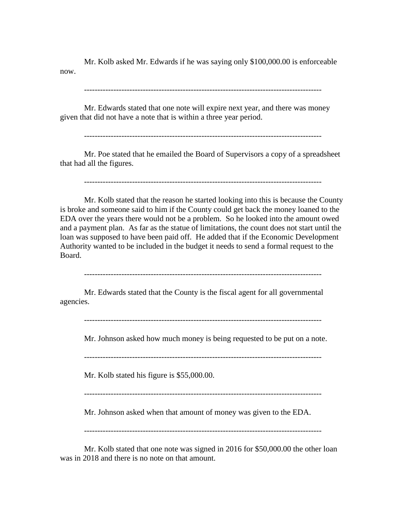Mr. Kolb asked Mr. Edwards if he was saying only \$100,000.00 is enforceable now.

-----------------------------------------------------------------------------------------

Mr. Edwards stated that one note will expire next year, and there was money given that did not have a note that is within a three year period.

Mr. Poe stated that he emailed the Board of Supervisors a copy of a spreadsheet that had all the figures.

-----------------------------------------------------------------------------------------

Mr. Kolb stated that the reason he started looking into this is because the County is broke and someone said to him if the County could get back the money loaned to the EDA over the years there would not be a problem. So he looked into the amount owed and a payment plan. As far as the statue of limitations, the count does not start until the loan was supposed to have been paid off. He added that if the Economic Development Authority wanted to be included in the budget it needs to send a formal request to the Board.

-----------------------------------------------------------------------------------------

Mr. Edwards stated that the County is the fiscal agent for all governmental agencies.

Mr. Johnson asked how much money is being requested to be put on a note.

Mr. Kolb stated his figure is \$55,000.00.

-----------------------------------------------------------------------------------------

Mr. Johnson asked when that amount of money was given to the EDA.

-----------------------------------------------------------------------------------------

Mr. Kolb stated that one note was signed in 2016 for \$50,000.00 the other loan was in 2018 and there is no note on that amount.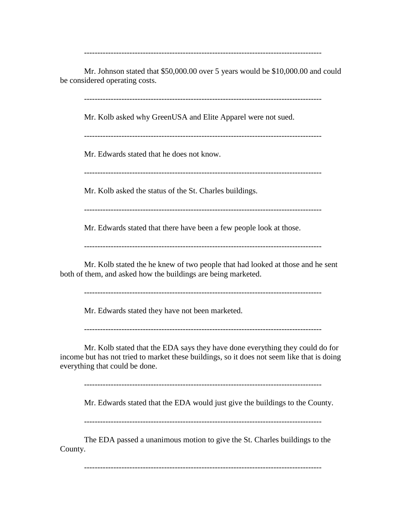-----------------------------------------------------------------------------------------

Mr. Johnson stated that \$50,000.00 over 5 years would be \$10,000.00 and could be considered operating costs.

-----------------------------------------------------------------------------------------

Mr. Kolb asked why GreenUSA and Elite Apparel were not sued.

-----------------------------------------------------------------------------------------

Mr. Edwards stated that he does not know.

-----------------------------------------------------------------------------------------

Mr. Kolb asked the status of the St. Charles buildings.

-----------------------------------------------------------------------------------------

Mr. Edwards stated that there have been a few people look at those.

Mr. Kolb stated the he knew of two people that had looked at those and he sent both of them, and asked how the buildings are being marketed.

-----------------------------------------------------------------------------------------

Mr. Edwards stated they have not been marketed.

-----------------------------------------------------------------------------------------

Mr. Kolb stated that the EDA says they have done everything they could do for income but has not tried to market these buildings, so it does not seem like that is doing everything that could be done.

-----------------------------------------------------------------------------------------

Mr. Edwards stated that the EDA would just give the buildings to the County.

-----------------------------------------------------------------------------------------

The EDA passed a unanimous motion to give the St. Charles buildings to the County.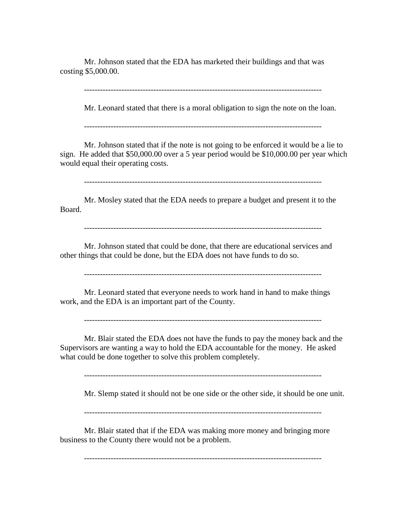Mr. Johnson stated that the EDA has marketed their buildings and that was costing \$5,000.00.

-----------------------------------------------------------------------------------------

Mr. Leonard stated that there is a moral obligation to sign the note on the loan.

-----------------------------------------------------------------------------------------

Mr. Johnson stated that if the note is not going to be enforced it would be a lie to sign. He added that \$50,000.00 over a 5 year period would be \$10,000.00 per year which would equal their operating costs.

-----------------------------------------------------------------------------------------

Mr. Mosley stated that the EDA needs to prepare a budget and present it to the Board.

-----------------------------------------------------------------------------------------

Mr. Johnson stated that could be done, that there are educational services and other things that could be done, but the EDA does not have funds to do so.

-----------------------------------------------------------------------------------------

Mr. Leonard stated that everyone needs to work hand in hand to make things work, and the EDA is an important part of the County.

-----------------------------------------------------------------------------------------

Mr. Blair stated the EDA does not have the funds to pay the money back and the Supervisors are wanting a way to hold the EDA accountable for the money. He asked what could be done together to solve this problem completely.

-----------------------------------------------------------------------------------------

Mr. Slemp stated it should not be one side or the other side, it should be one unit.

-----------------------------------------------------------------------------------------

Mr. Blair stated that if the EDA was making more money and bringing more business to the County there would not be a problem.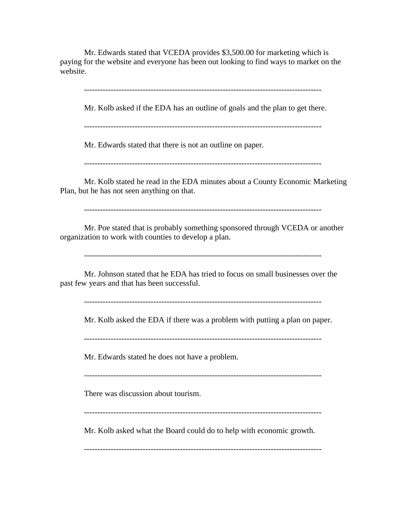Mr. Edwards stated that VCEDA provides \$3,500.00 for marketing which is paying for the website and everyone has been out looking to find ways to market on the website.

-----------------------------------------------------------------------------------------

Mr. Kolb asked if the EDA has an outline of goals and the plan to get there.

-----------------------------------------------------------------------------------------

Mr. Edwards stated that there is not an outline on paper.

-----------------------------------------------------------------------------------------

Mr. Kolb stated he read in the EDA minutes about a County Economic Marketing Plan, but he has not seen anything on that.

-----------------------------------------------------------------------------------------

Mr. Poe stated that is probably something sponsored through VCEDA or another organization to work with counties to develop a plan.

-----------------------------------------------------------------------------------------

Mr. Johnson stated that he EDA has tried to focus on small businesses over the past few years and that has been successful.

-----------------------------------------------------------------------------------------

Mr. Kolb asked the EDA if there was a problem with putting a plan on paper.

-----------------------------------------------------------------------------------------

Mr. Edwards stated he does not have a problem.

There was discussion about tourism.

-----------------------------------------------------------------------------------------

Mr. Kolb asked what the Board could do to help with economic growth.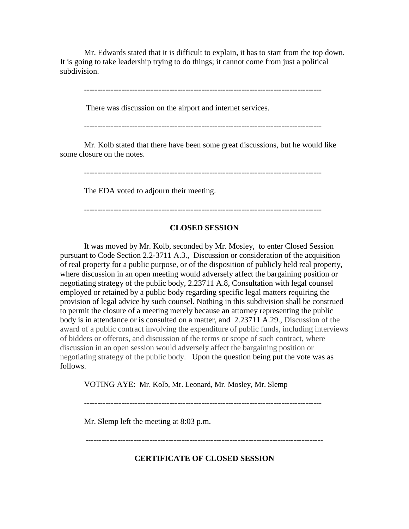Mr. Edwards stated that it is difficult to explain, it has to start from the top down. It is going to take leadership trying to do things; it cannot come from just a political subdivision.

-----------------------------------------------------------------------------------------

There was discussion on the airport and internet services.

-----------------------------------------------------------------------------------------

Mr. Kolb stated that there have been some great discussions, but he would like some closure on the notes.

-----------------------------------------------------------------------------------------

The EDA voted to adjourn their meeting.

-----------------------------------------------------------------------------------------

#### **CLOSED SESSION**

It was moved by Mr. Kolb, seconded by Mr. Mosley, to enter Closed Session pursuant to Code Section 2.2-3711 A.3., Discussion or consideration of the acquisition of real property for a public purpose, or of the disposition of publicly held real property, where discussion in an open meeting would adversely affect the bargaining position or negotiating strategy of the public body, 2.23711 A.8, Consultation with legal counsel employed or retained by a public body regarding specific legal matters requiring the provision of legal advice by such counsel. Nothing in this subdivision shall be construed to permit the closure of a meeting merely because an attorney representing the public body is in attendance or is consulted on a matter, and 2.23711 A.29., Discussion of the award of a public contract involving the expenditure of public funds, including interviews of bidders or offerors, and discussion of the terms or scope of such contract, where discussion in an open session would adversely affect the bargaining position or negotiating strategy of the public body. Upon the question being put the vote was as follows.

VOTING AYE: Mr. Kolb, Mr. Leonard, Mr. Mosley, Mr. Slemp

Mr. Slemp left the meeting at 8:03 p.m.

-----------------------------------------------------------------------------------------

**CERTIFICATE OF CLOSED SESSION**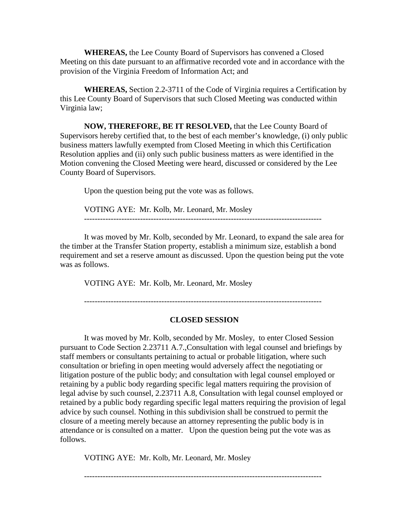**WHEREAS,** the Lee County Board of Supervisors has convened a Closed Meeting on this date pursuant to an affirmative recorded vote and in accordance with the provision of the Virginia Freedom of Information Act; and

**WHEREAS,** Section 2.2-3711 of the Code of Virginia requires a Certification by this Lee County Board of Supervisors that such Closed Meeting was conducted within Virginia law;

**NOW, THEREFORE, BE IT RESOLVED,** that the Lee County Board of Supervisors hereby certified that, to the best of each member's knowledge, (i) only public business matters lawfully exempted from Closed Meeting in which this Certification Resolution applies and (ii) only such public business matters as were identified in the Motion convening the Closed Meeting were heard, discussed or considered by the Lee County Board of Supervisors.

Upon the question being put the vote was as follows.

VOTING AYE: Mr. Kolb, Mr. Leonard, Mr. Mosley -----------------------------------------------------------------------------------------

It was moved by Mr. Kolb, seconded by Mr. Leonard, to expand the sale area for the timber at the Transfer Station property, establish a minimum size, establish a bond requirement and set a reserve amount as discussed. Upon the question being put the vote was as follows.

VOTING AYE: Mr. Kolb, Mr. Leonard, Mr. Mosley

-----------------------------------------------------------------------------------------

#### **CLOSED SESSION**

It was moved by Mr. Kolb, seconded by Mr. Mosley, to enter Closed Session pursuant to Code Section 2.23711 A.7.,Consultation with legal counsel and briefings by staff members or consultants pertaining to actual or probable litigation, where such consultation or briefing in open meeting would adversely affect the negotiating or litigation posture of the public body; and consultation with legal counsel employed or retaining by a public body regarding specific legal matters requiring the provision of legal advise by such counsel, 2.23711 A.8, Consultation with legal counsel employed or retained by a public body regarding specific legal matters requiring the provision of legal advice by such counsel. Nothing in this subdivision shall be construed to permit the closure of a meeting merely because an attorney representing the public body is in attendance or is consulted on a matter. Upon the question being put the vote was as follows.

VOTING AYE: Mr. Kolb, Mr. Leonard, Mr. Mosley